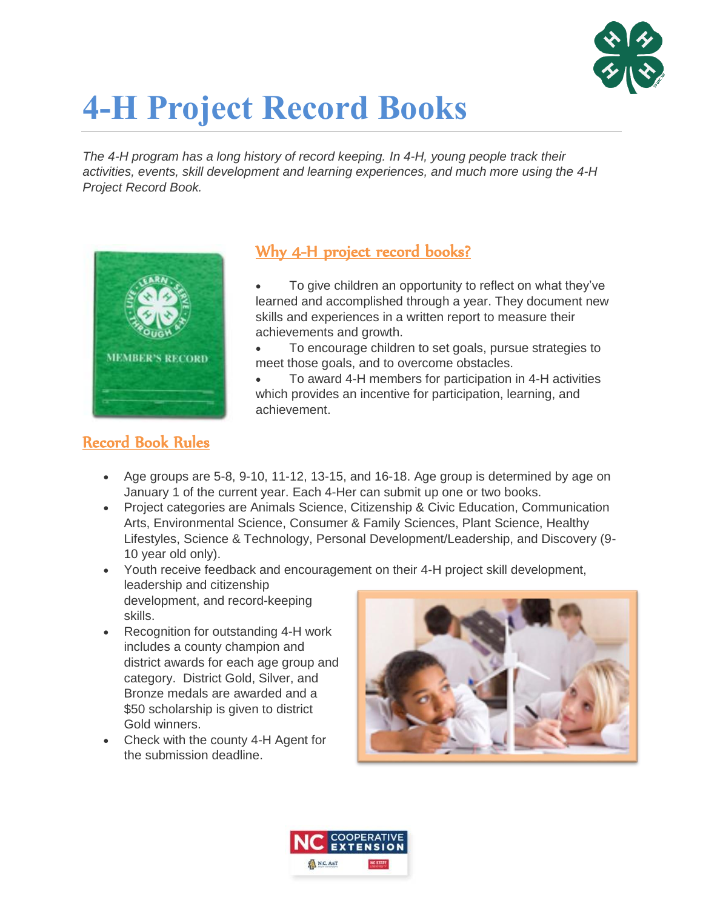

# **4-H Project Record Books**

*The 4-H program has a long history of record keeping. In 4-H, young people track their activities, events, skill development and learning experiences, and much more using the 4-H Project Record Book.* 



#### Why 4-H project record books?

 To give children an opportunity to reflect on what they've learned and accomplished through a year. They document new skills and experiences in a written report to measure their achievements and growth.

• To encourage children to set goals, pursue strategies to meet those goals, and to overcome obstacles.

 To award 4-H members for participation in 4-H activities which provides an incentive for participation, learning, and achievement.

## Record Book Rules

- Age groups are  $5-8$ ,  $9-10$ ,  $11-12$ ,  $13-15$ , and  $16-18$ . Age group is determined by age on January 1 of the current year. Each 4-Her can submit up one or two books.
- Project categories are Animals Science, Citizenship & Civic Education, Communication Arts, Environmental Science, Consumer & Family Sciences, Plant Science, Healthy Lifestyles, Science & Technology, Personal Development/Leadership, and Discovery (9- 10 year old only).
- Youth receive feedback and encouragement on their 4-H project skill development, leadership and citizenship development, and record-keeping skills.
- Recognition for outstanding 4-H work includes a county champion and district awards for each age group and category. District Gold, Silver, and Bronze medals are awarded and a \$50 scholarship is given to district Gold winners.
- Check with the county 4-H Agent for the submission deadline.